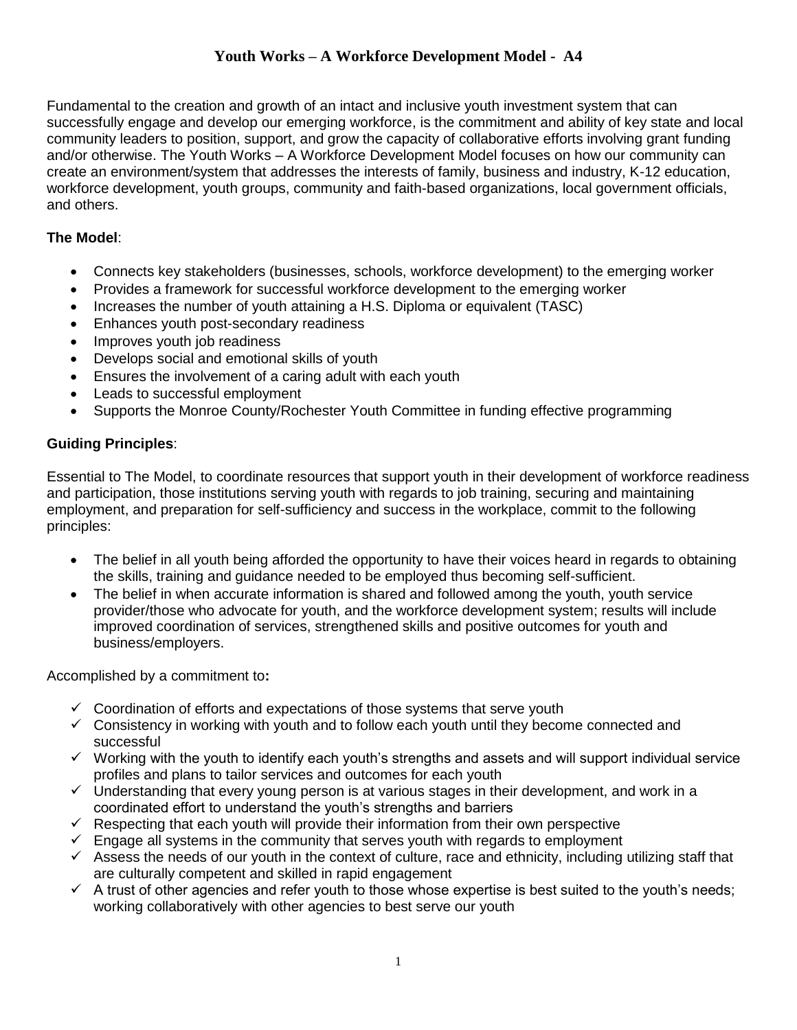## **Youth Works – A Workforce Development Model - A4**

Fundamental to the creation and growth of an intact and inclusive youth investment system that can successfully engage and develop our emerging workforce, is the commitment and ability of key state and local community leaders to position, support, and grow the capacity of collaborative efforts involving grant funding and/or otherwise. The Youth Works – A Workforce Development Model focuses on how our community can create an environment/system that addresses the interests of family, business and industry, K-12 education, workforce development, youth groups, community and faith-based organizations, local government officials, and others.

## **The Model**:

- Connects key stakeholders (businesses, schools, workforce development) to the emerging worker
- Provides a framework for successful workforce development to the emerging worker
- Increases the number of youth attaining a H.S. Diploma or equivalent (TASC)
- Enhances youth post-secondary readiness
- Improves youth job readiness
- Develops social and emotional skills of youth
- Ensures the involvement of a caring adult with each youth
- Leads to successful employment
- Supports the Monroe County/Rochester Youth Committee in funding effective programming

## **Guiding Principles**:

Essential to The Model, to coordinate resources that support youth in their development of workforce readiness and participation, those institutions serving youth with regards to job training, securing and maintaining employment, and preparation for self-sufficiency and success in the workplace, commit to the following principles:

- The belief in all youth being afforded the opportunity to have their voices heard in regards to obtaining the skills, training and guidance needed to be employed thus becoming self-sufficient.
- The belief in when accurate information is shared and followed among the youth, youth service provider/those who advocate for youth, and the workforce development system; results will include improved coordination of services, strengthened skills and positive outcomes for youth and business/employers.

Accomplished by a commitment to**:**

- $\checkmark$  Coordination of efforts and expectations of those systems that serve youth
- $\checkmark$  Consistency in working with youth and to follow each youth until they become connected and successful
- ✓ Working with the youth to identify each youth's strengths and assets and will support individual service profiles and plans to tailor services and outcomes for each youth
- ✓ Understanding that every young person is at various stages in their development, and work in a coordinated effort to understand the youth's strengths and barriers
- $\checkmark$  Respecting that each youth will provide their information from their own perspective
- $\checkmark$  Engage all systems in the community that serves youth with regards to employment
- $\checkmark$  Assess the needs of our youth in the context of culture, race and ethnicity, including utilizing staff that are culturally competent and skilled in rapid engagement
- $\checkmark$  A trust of other agencies and refer youth to those whose expertise is best suited to the youth's needs; working collaboratively with other agencies to best serve our youth